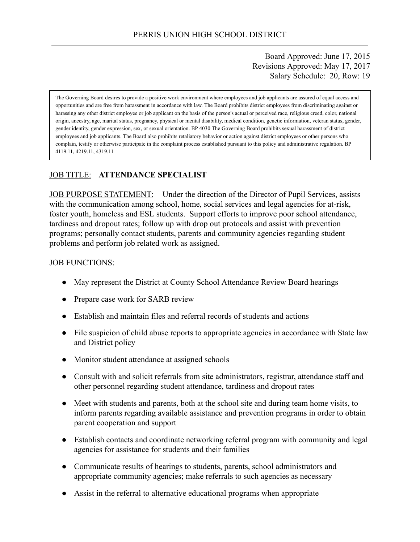Board Approved: June 17, 2015 Revisions Approved: May 17, 2017 Salary Schedule: 20, Row: 19

The Governing Board desires to provide a positive work environment where employees and job applicants are assured of equal access and opportunities and are free from harassment in accordance with law. The Board prohibits district employees from discriminating against or harassing any other district employee or job applicant on the basis of the person's actual or perceived race, religious creed, color, national origin, ancestry, age, marital status, pregnancy, physical or mental disability, medical condition, genetic information, veteran status, gender, gender identity, gender expression, sex, or sexual orientation. BP 4030 The Governing Board prohibits sexual harassment of district employees and job applicants. The Board also prohibits retaliatory behavior or action against district employees or other persons who complain, testify or otherwise participate in the complaint process established pursuant to this policy and administrative regulation. BP 4119.11, 4219.11, 4319.11

# JOB TITLE: **ATTENDANCE SPECIALIST**

JOB PURPOSE STATEMENT: Under the direction of the Director of Pupil Services, assists with the communication among school, home, social services and legal agencies for at-risk, foster youth, homeless and ESL students. Support efforts to improve poor school attendance, tardiness and dropout rates; follow up with drop out protocols and assist with prevention programs; personally contact students, parents and community agencies regarding student problems and perform job related work as assigned.

#### **JOB FUNCTIONS:**

- May represent the District at County School Attendance Review Board hearings
- Prepare case work for SARB review
- Establish and maintain files and referral records of students and actions
- File suspicion of child abuse reports to appropriate agencies in accordance with State law and District policy
- Monitor student attendance at assigned schools
- Consult with and solicit referrals from site administrators, registrar, attendance staff and other personnel regarding student attendance, tardiness and dropout rates
- Meet with students and parents, both at the school site and during team home visits, to inform parents regarding available assistance and prevention programs in order to obtain parent cooperation and support
- Establish contacts and coordinate networking referral program with community and legal agencies for assistance for students and their families
- Communicate results of hearings to students, parents, school administrators and appropriate community agencies; make referrals to such agencies as necessary
- Assist in the referral to alternative educational programs when appropriate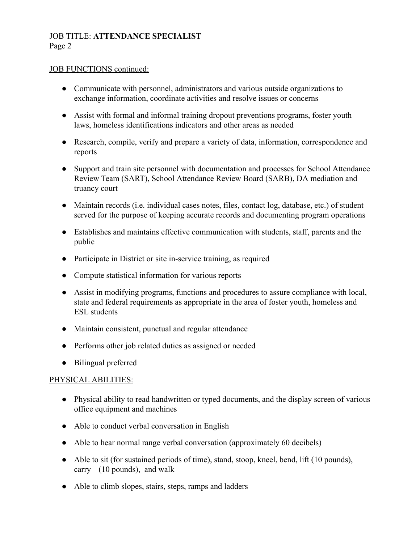# JOB TITLE: **ATTENDANCE SPECIALIST** Page 2

#### JOB FUNCTIONS continued:

- Communicate with personnel, administrators and various outside organizations to exchange information, coordinate activities and resolve issues or concerns
- Assist with formal and informal training dropout preventions programs, foster youth laws, homeless identifications indicators and other areas as needed
- Research, compile, verify and prepare a variety of data, information, correspondence and reports
- Support and train site personnel with documentation and processes for School Attendance Review Team (SART), School Attendance Review Board (SARB), DA mediation and truancy court
- Maintain records (i.e. individual cases notes, files, contact log, database, etc.) of student served for the purpose of keeping accurate records and documenting program operations
- Establishes and maintains effective communication with students, staff, parents and the public
- Participate in District or site in-service training, as required
- Compute statistical information for various reports
- Assist in modifying programs, functions and procedures to assure compliance with local, state and federal requirements as appropriate in the area of foster youth, homeless and ESL students
- Maintain consistent, punctual and regular attendance
- Performs other job related duties as assigned or needed
- Bilingual preferred

# PHYSICAL ABILITIES:

- Physical ability to read handwritten or typed documents, and the display screen of various office equipment and machines
- Able to conduct verbal conversation in English
- Able to hear normal range verbal conversation (approximately 60 decibels)
- Able to sit (for sustained periods of time), stand, stoop, kneel, bend, lift (10 pounds), carry (10 pounds), and walk
- Able to climb slopes, stairs, steps, ramps and ladders